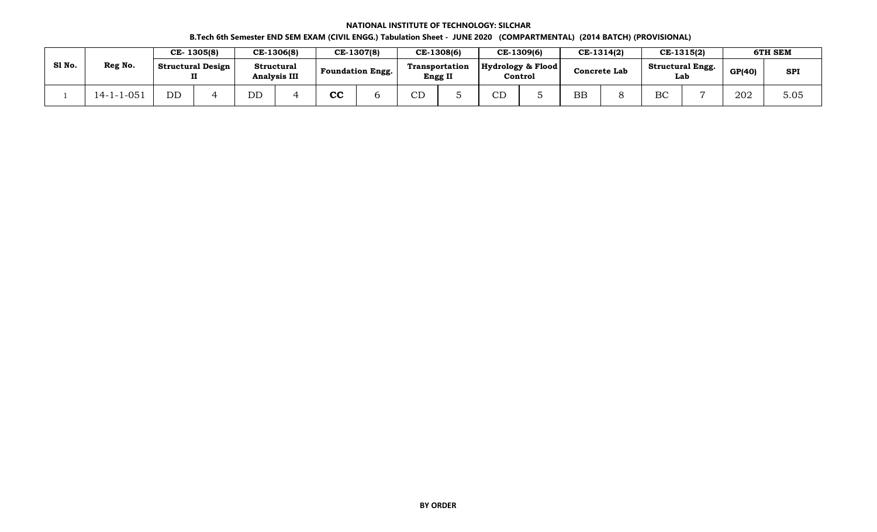## **NATIONAL INSTITUTE OF TECHNOLOGY: SILCHAR B.Tech 6th Semester END SEM EXAM (CIVIL ENGG.) Tabulation Sheet - JUNE 2020 (COMPARTMENTAL) (2014 BATCH) (PROVISIONAL)**

|        |                   |           | CE-1305(8)                    |    | CE-1306(8)                        |    | CE-1307(8)              |              | CE-1308(6)                              |               | CE-1309(6)                   |           | CE-1314(2)   |                                | CE-1315(2) |               | 6TH SEM    |
|--------|-------------------|-----------|-------------------------------|----|-----------------------------------|----|-------------------------|--------------|-----------------------------------------|---------------|------------------------------|-----------|--------------|--------------------------------|------------|---------------|------------|
| Sl No. | Reg No.           |           | <b>Structural Design</b><br>п |    | Structural<br><b>Analysis III</b> |    | <b>Foundation Engg.</b> |              | <b>Transportation</b><br><b>Engg II</b> |               | Hydrology & Flood<br>Control |           | Concrete Lab | <b>Structural Engg.</b><br>Lab |            | <b>GP(40)</b> | <b>SPI</b> |
|        | $14 - 1 - 1 - 05$ | <b>DD</b> |                               | DD |                                   | cc |                         | $\cap$<br>◡◡ |                                         | $\sim$ $\sim$ |                              | <b>BB</b> |              | BC                             |            | 202           | 5.05       |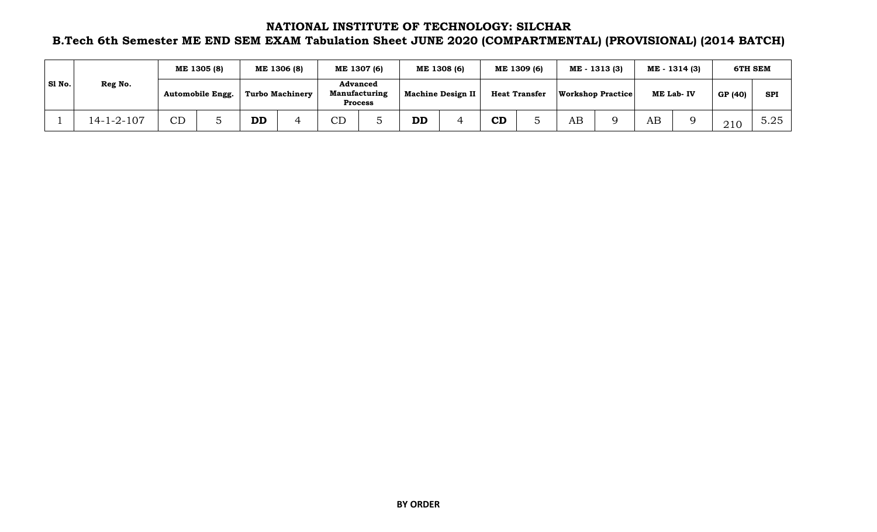## **NATIONAL INSTITUTE OF TECHNOLOGY: SILCHAR**

## **B.Tech 6th Semester ME END SEM EXAM Tabulation Sheet JUNE 2020 (COMPARTMENTAL) (PROVISIONAL) (2014 BATCH)**

|        |            |    | ME 1305 (8)      |           | ME 1306 (8)     |              | ME 1307 (6)                                               |                          | ME 1308 (6) |    | ME 1309 (6)          |    | ME - 1313 (3)            |    | ME - 1314 (3) |         | 6TH SEM    |
|--------|------------|----|------------------|-----------|-----------------|--------------|-----------------------------------------------------------|--------------------------|-------------|----|----------------------|----|--------------------------|----|---------------|---------|------------|
| SI No. | Reg No.    |    | Automobile Engg. |           | Turbo Machinery |              | <b>Advanced</b><br><b>Manufacturing</b><br><b>Process</b> | <b>Machine Design II</b> |             |    | <b>Heat Transfer</b> |    | <b>Workshop Practice</b> |    | ME Lab-IV     | GP (40) | <b>SPI</b> |
|        | 14-1-2-107 | CD |                  | <b>DD</b> |                 | $\cap$<br>◡◡ |                                                           | <b>DD</b>                |             | CD |                      | AΒ |                          | AB |               | 210     | 5.25       |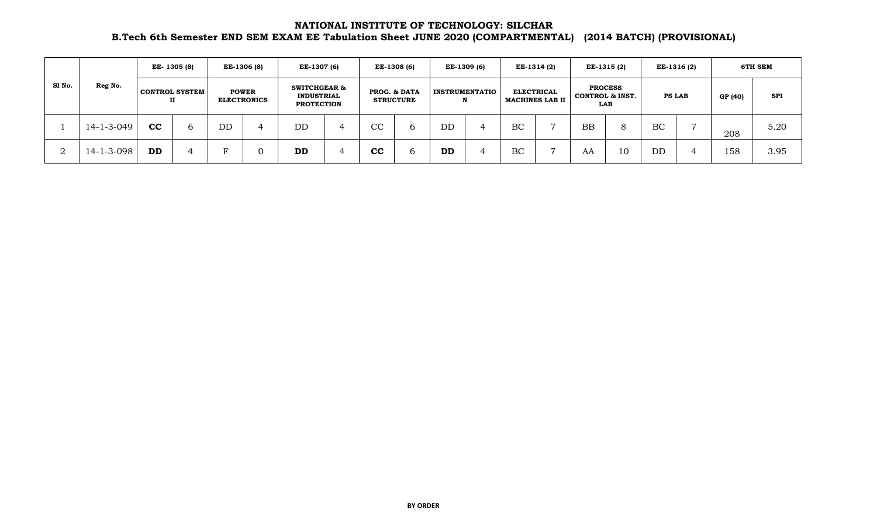## **NATIONAL INSTITUTE OF TECHNOLOGY: SILCHAR B.Tech 6th Semester END SEM EXAM EE Tabulation Sheet JUNE 2020 (COMPARTMENTAL) (2014 BATCH) (PROVISIONAL)**

|        |            |           | EE-1305 (8)                |    | EE-1306 (8)                        | EE-1307 (6)                                                       |   |             | EE-1308 (6)                      |           | EE-1309 (6)           |    | EE-1314 (2)                                 |           | EE-1315(2)                                          |               | EE-1316 (2) |         | 6TH SEM    |
|--------|------------|-----------|----------------------------|----|------------------------------------|-------------------------------------------------------------------|---|-------------|----------------------------------|-----------|-----------------------|----|---------------------------------------------|-----------|-----------------------------------------------------|---------------|-------------|---------|------------|
| S1 No. | Reg No.    |           | <b>CONTROL SYSTEM</b><br>п |    | <b>POWER</b><br><b>ELECTRONICS</b> | <b>SWITCHGEAR &amp;</b><br><b>INDUSTRIAL</b><br><b>PROTECTION</b> |   |             | PROG. & DATA<br><b>STRUCTURE</b> | N         | <b>INSTRUMENTATIO</b> |    | <b>ELECTRICAL</b><br><b>MACHINES LAB II</b> |           | <b>PROCESS</b><br><b>CONTROL &amp; INST.</b><br>LAB | <b>PS LAB</b> |             | GP (40) | <b>SPI</b> |
|        | 14-1-3-049 | cc        | b                          | DD |                                    | DD                                                                |   | CС          | b                                | DD        |                       | BC |                                             | <b>BB</b> | 8                                                   | BC            |             | 208     | 5.20       |
| ∩<br>∠ | 14-1-3-098 | <b>DD</b> |                            |    |                                    | <b>DD</b>                                                         | 4 | $_{\rm cc}$ | b                                | <b>DD</b> |                       | BC |                                             | AA        | 10                                                  | DD            |             | 158     | 3.95       |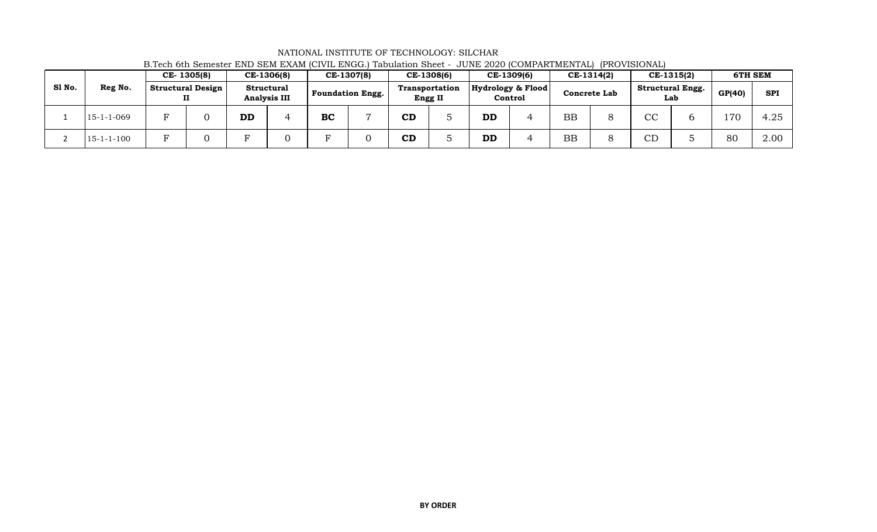|        |                    |                          | CE-1305(8)               |           | CE-1306(8)                               |           | CE-1307(8)              |           | CE-1308(6)                       |           | CE-1309(6)                   |           | CE-1314(2)          |                | CE-1315(2)                     |        | 6TH SEM    |
|--------|--------------------|--------------------------|--------------------------|-----------|------------------------------------------|-----------|-------------------------|-----------|----------------------------------|-----------|------------------------------|-----------|---------------------|----------------|--------------------------------|--------|------------|
| Sl No. | Reg No.            |                          | <b>Structural Design</b> |           | <b>Structural</b><br><b>Analysis III</b> |           | <b>Foundation Engg.</b> |           | <b>Transportation</b><br>Engg II |           | Hydrology & Flood<br>Control |           | <b>Concrete Lab</b> |                | <b>Structural Engg.</b><br>Lab | GP(40) | <b>SPI</b> |
|        | $15 - 1 - 1 - 069$ | $\overline{\phantom{0}}$ |                          | <b>DD</b> | ↵                                        | <b>BC</b> |                         | <b>CD</b> |                                  | <b>DD</b> |                              | <b>BB</b> |                     | $\cap$         |                                | 70     | 4.25       |
|        | $15 - 1 - 1 - 100$ |                          |                          | Ð         |                                          |           |                         | CD        |                                  | <b>DD</b> |                              | <b>BB</b> |                     | $\cap$ n<br>◡⊥ |                                | 80     | 2.00       |

NATIONAL INSTITUTE OF TECHNOLOGY: SILCHAR B.Tech 6th Semester END SEM EXAM (CIVIL ENGG.) Tabulation Sheet - JUNE 2020 (COMPARTMENTAL) (PROVISIONAL)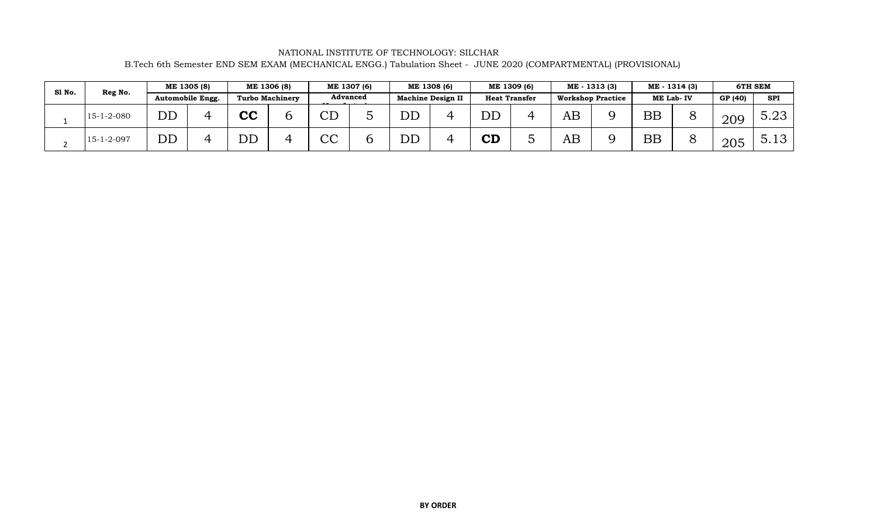NATIONAL INSTITUTE OF TECHNOLOGY: SILCHAR B.Tech 6th Semester END SEM EXAM (MECHANICAL ENGG.) Tabulation Sheet - JUNE 2020 (COMPARTMENTAL) (PROVISIONAL)

| Sl No. | Reg No.            |                          | ME 1305 (8)      |    | ME 1306 (8)            |                        | ME 1307 (6)     |    | ME 1308 (6)              |           | ME 1309 (6)          |                          | ME - 1313 (3) |           | ME - 1314 (3) |         | 6TH SEM    |
|--------|--------------------|--------------------------|------------------|----|------------------------|------------------------|-----------------|----|--------------------------|-----------|----------------------|--------------------------|---------------|-----------|---------------|---------|------------|
|        |                    |                          | Automobile Engg. |    | <b>Turbo Machinery</b> |                        | <b>Advanced</b> |    | <b>Machine Design II</b> |           | <b>Heat Transfer</b> | <b>Workshop Practice</b> |               | ME Lab-IV |               | GP (40) | <b>SPI</b> |
|        | $15 - 1 - 2 - 080$ | $\overline{\mathrm{DD}}$ |                  | cc |                        | $\overline{\text{CD}}$ |                 | DD |                          | DD        |                      | AB                       |               | <b>BB</b> |               | 209     | 5.23       |
|        | $15 - 1 - 2 - 097$ | DD                       |                  | DD |                        | CC                     |                 | DD |                          | <b>CD</b> |                      | AB                       |               | <b>BB</b> |               | 205     | 5.13       |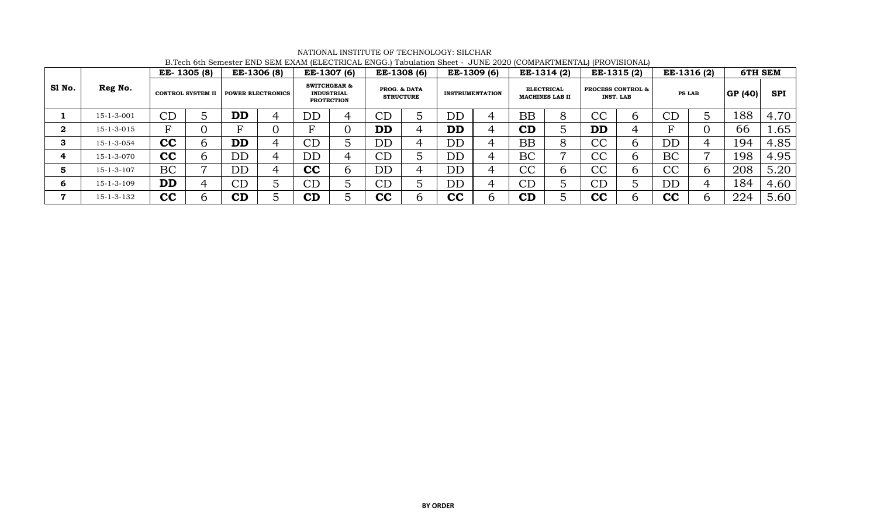|              |                    |           | EE-1305 (8)              |                          | EE-1306 (8)              |    | EE-1307 (6)                                                       |           | EE-1308 (6)                      |           | EE-1309 (6)            | EE-1314 (2)                                 |   |           | EE-1315 (2)                                      |                          | EE-1316 (2)   |         | 6TH SEM          |
|--------------|--------------------|-----------|--------------------------|--------------------------|--------------------------|----|-------------------------------------------------------------------|-----------|----------------------------------|-----------|------------------------|---------------------------------------------|---|-----------|--------------------------------------------------|--------------------------|---------------|---------|------------------|
| Sl No.       | Reg No.            |           | <b>CONTROL SYSTEM II</b> |                          | <b>POWER ELECTRONICS</b> |    | <b>SWITCHGEAR &amp;</b><br><b>INDUSTRIAL</b><br><b>PROTECTION</b> |           | PROG. & DATA<br><b>STRUCTURE</b> |           | <b>INSTRUMENTATION</b> | <b>ELECTRICAL</b><br><b>MACHINES LAB II</b> |   |           | <b>PROCESS CONTROL &amp;</b><br><b>INST. LAB</b> |                          | <b>PS LAB</b> | GP (40) | <b>SPI</b>       |
|              | $15 - 1 - 3 - 001$ | CD        | J                        | <b>DD</b>                |                          | DD | 4                                                                 | CD        |                                  | DD        | 4                      | <b>BB</b>                                   |   | СC        |                                                  | $\overline{\text{CL}}$   |               | 188     | 4.70             |
| $\mathbf{2}$ | 15-1-3-015         | ᢑ         |                          | R                        |                          | R  |                                                                   | <b>DD</b> |                                  | <b>DD</b> | 4                      | CD                                          |   | <b>DD</b> |                                                  | F                        |               | 66      | .65 <sup>2</sup> |
| 3            | $15 - 1 - 3 - 054$ | cc        | h                        | <b>DD</b>                |                          | CL | $\mathcal{D}$                                                     | DD        |                                  | <b>DD</b> | 4                      | <b>BB</b>                                   |   | СC        |                                                  | $\overline{\mathrm{DD}}$ |               | 194     | 4.85             |
| 4            | 15-1-3-070         | cc        | 6                        | DD                       |                          | DD | 4                                                                 | CD        |                                  | DD        | 4                      | BC                                          | ⇁ | СC        |                                                  | BC                       |               | 198     | 4.95             |
| G            | 15-1-3-107         | BC        | ⇁                        | $\overline{\mathrm{DD}}$ |                          | cc | $\mathfrak b$                                                     | DD        |                                  | <b>DD</b> | 4                      | $\overline{\text{CC}}$                      | h | СC        | $\mathbf b$                                      | CC                       |               | 208     | 5.20             |
| 6            | 15-1-3-109         | <b>DD</b> | 4                        | CD                       |                          | CD | $\circ$                                                           | CD        |                                  | DD        | 4                      | CD                                          |   | СD        |                                                  | $\overline{\mathrm{DD}}$ |               | 184     | 4.60             |
| 7            | 15-1-3-132         | cc        | 6                        | CD                       |                          | CD |                                                                   | cc        |                                  | cc        | $\mathbf b$            | CD                                          |   | cc        |                                                  | cc                       | h             | 224     | 5.60             |

NATIONAL INSTITUTE OF TECHNOLOGY: SILCHAR B.Tech 6th Semester END SEM EXAM (ELECTRICAL ENGG.) Tabulation Sheet - JUNE 2020 (COMPARTMENTAL) (PROVISIONAL)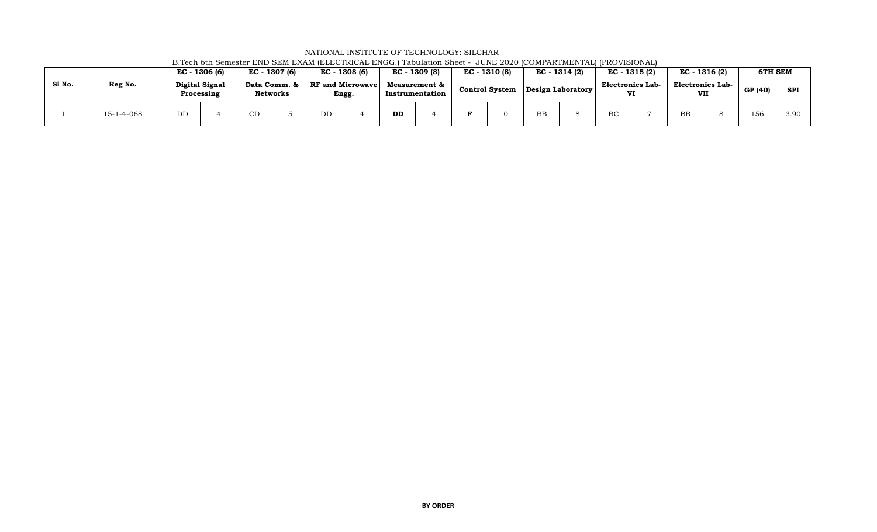|        |                    | EC - 1306 (6)  |            | EC - 1307 (6)                   |    | EC - 1308 (6)                    |           | EC - 1309 (8)                    | $EC - 1310(8)$        | EC - 1314 (2)     |                               | EC - 1315 (2) | EC - 1316 (2)                  | <b>6TH SEM</b> |            |
|--------|--------------------|----------------|------------|---------------------------------|----|----------------------------------|-----------|----------------------------------|-----------------------|-------------------|-------------------------------|---------------|--------------------------------|----------------|------------|
| S1 No. | Reg No.            | Digital Signal | Processing | Data Comm. &<br><b>Networks</b> |    | <b>RF</b> and Microwave<br>Engg. |           | Measurement &<br>Instrumentation | <b>Control System</b> | Design Laboratory | <b>Electronics Lab-</b><br>VI |               | <b>Electronics Lab-</b><br>VII | GP (40)        | <b>SPI</b> |
|        | $15 - 1 - 4 - 068$ | DD             |            | CD                              | DD |                                  | <b>DD</b> |                                  |                       | BB                | BC                            |               | <b>BB</b>                      | 156            | 3.90       |

NATIONAL INSTITUTE OF TECHNOLOGY: SILCHAR B.Tech 6th Semester END SEM EXAM (ELECTRICAL ENGG.) Tabulation Sheet - JUNE 2020 (COMPARTMENTAL) (PROVISIONAL)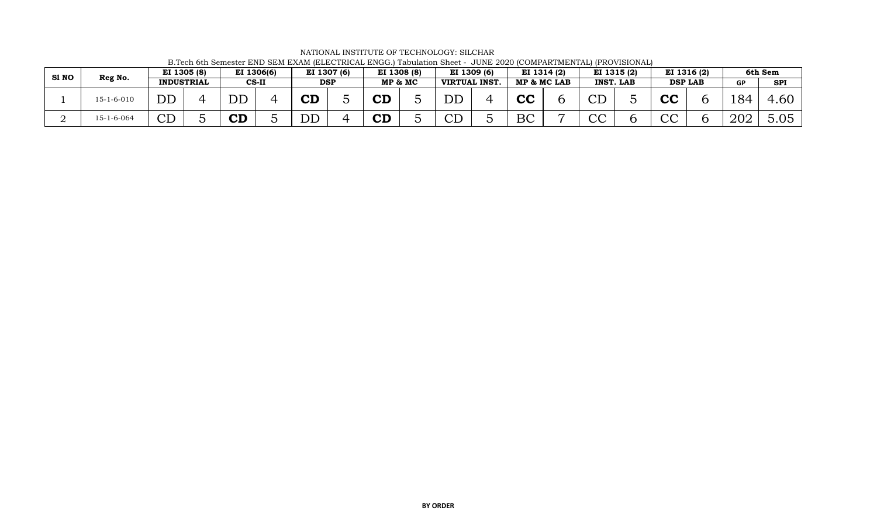| S1 NO |            | EI 1305 (8)           |                                   | EI 1306(6) |                      | EI 1307 (6) | EI 1308 (8) |         |                       | EI 1309 (6) |    | EI 1314 (2) |                            | EI 1315 (2)      |              | EI 1316 (2)    |                   | 6th Sem        |
|-------|------------|-----------------------|-----------------------------------|------------|----------------------|-------------|-------------|---------|-----------------------|-------------|----|-------------|----------------------------|------------------|--------------|----------------|-------------------|----------------|
|       | Reg No.    | <b>INDUSTRIAL</b>     |                                   | $CS-II$    |                      | <b>DSP</b>  |             | MP & MC | <b>VIRTUAL INST.</b>  |             |    | MP & MC LAB |                            | <b>INST. LAB</b> |              | <b>DSP LAB</b> | <b>GP</b>         | <b>SPI</b>     |
|       | 15-1-6-010 | DD                    | $\overline{\mathrm{D}}\mathrm{D}$ |            | $\mathbf C\mathbf D$ |             | ${\tt CD}$  |         | $\operatorname{DD}$   |             | cc |             | $\mathop{\rm CL}\nolimits$ |                  | rr<br>UL     |                | $\circ$ O $\land$ | 60،،           |
|       | 15-1-6-064 | $\cap$ $\Gamma$<br>CL | ${\bf C} {\bf D}$                 |            | DĽ                   |             | ΛD<br>UL    |         | $\cap$ $\Gamma$<br>ىب |             | ВC |             | $\cap$<br>UC.              |                  | $\cap$<br>〜〜 |                | 202               | $\cap$<br>J.UJ |

NATIONAL INSTITUTE OF TECHNOLOGY: SILCHAR B.Tech 6th Semester END SEM EXAM (ELECTRICAL ENGG.) Tabulation Sheet - JUNE 2020 (COMPARTMENTAL) (PROVISIONAL)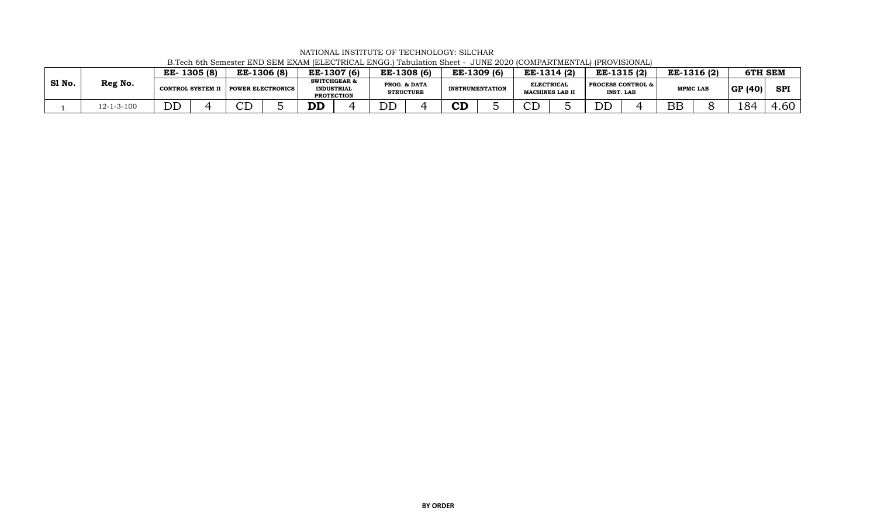|        |                    | EE-1305 (8) |                                     | EE-1306 (8) |           | EE-1307 (6)                                                       | EE-1308 (6)                      | EE-1309 (6)            |                         | EE-1314 (2)            | EE-1315(2)                   |                  | EE-1316 (2)     | <b>6TH SEM</b> |            |
|--------|--------------------|-------------|-------------------------------------|-------------|-----------|-------------------------------------------------------------------|----------------------------------|------------------------|-------------------------|------------------------|------------------------------|------------------|-----------------|----------------|------------|
| SI No. | Reg No.            |             | CONTROL SYSTEM II POWER ELECTRONICS |             |           | <b>SWITCHGEAR &amp;</b><br><b>INDUSTRIAL</b><br><b>PROTECTION</b> | PROG. & DATA<br><b>STRUCTURE</b> | <b>INSTRUMENTATION</b> | <b>ELECTRICAI</b>       | <b>MACHINES LAB II</b> | <b>PROCESS CONTROL &amp;</b> | <b>INST. LAB</b> | <b>MPMC LAB</b> | GP(40)         | <b>SPI</b> |
|        | $12 - 1 - 3 - 100$ | DL          | $\cap$ $\Gamma$                     |             | <b>DD</b> |                                                                   | DD                               | CD                     | $\cap$ r $\Gamma$<br>◡ఒ |                        | DD                           |                  | <b>BE</b>       | 184            | .60        |

NATIONAL INSTITUTE OF TECHNOLOGY: SILCHAR B.Tech 6th Semester END SEM EXAM (ELECTRICAL ENGG.) Tabulation Sheet - JUNE 2020 (COMPARTMENTAL) (PROVISIONAL)